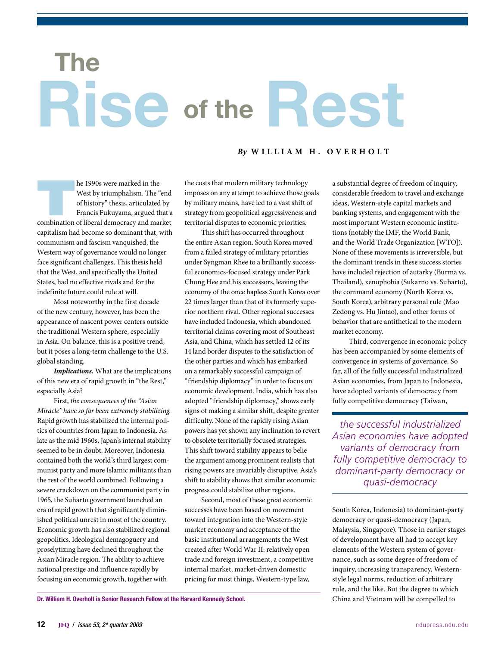# **The** Rise of the Rest

#### *By* **W i l l ia m H. O v erh o l t**

he 1990s were marked in the<br>
West by triumphalism. The "end<br>
of history" thesis, articulated by<br>
Francis Fukuyama, argued that a<br>
combination of liberal democracy and market West by triumphalism. The "end of history" thesis, articulated by Francis Fukuyama, argued that a capitalism had become so dominant that, with communism and fascism vanquished, the Western way of governance would no longer face significant challenges. This thesis held that the West, and specifically the United States, had no effective rivals and for the indefinite future could rule at will.

Most noteworthy in the first decade of the new century, however, has been the appearance of nascent power centers outside the traditional Western sphere, especially in Asia. On balance, this is a positive trend, but it poses a long-term challenge to the U.S. global standing.

*Implications.* What are the implications of this new era of rapid growth in "the Rest," especially Asia?

First, *the consequences of the "Asian Miracle" have so far been extremely stabilizing.* Rapid growth has stabilized the internal politics of countries from Japan to Indonesia. As late as the mid 1960s, Japan's internal stability seemed to be in doubt. Moreover, Indonesia contained both the world's third largest communist party and more Islamic militants than the rest of the world combined. Following a severe crackdown on the communist party in 1965, the Suharto government launched an era of rapid growth that significantly diminished political unrest in most of the country. Economic growth has also stabilized regional geopolitics. Ideological demagoguery and proselytizing have declined throughout the Asian Miracle region. The ability to achieve national prestige and influence rapidly by focusing on economic growth, together with

the costs that modern military technology imposes on any attempt to achieve those goals by military means, have led to a vast shift of strategy from geopolitical aggressiveness and territorial disputes to economic priorities.

This shift has occurred throughout the entire Asian region. South Korea moved from a failed strategy of military priorities under Syngman Rhee to a brilliantly successful economics-focused strategy under Park Chung Hee and his successors, leaving the economy of the once hapless South Korea over 22 times larger than that of its formerly superior northern rival. Other regional successes have included Indonesia, which abandoned territorial claims covering most of Southeast Asia, and China, which has settled 12 of its 14 land border disputes to the satisfaction of the other parties and which has embarked on a remarkably successful campaign of "friendship diplomacy" in order to focus on economic development. India, which has also adopted "friendship diplomacy," shows early signs of making a similar shift, despite greater difficulty. None of the rapidly rising Asian powers has yet shown any inclination to revert to obsolete territorially focused strategies. This shift toward stability appears to belie the argument among prominent realists that rising powers are invariably disruptive. Asia's shift to stability shows that similar economic progress could stabilize other regions.

Second, most of these great economic successes have been based on movement toward integration into the Western-style market economy and acceptance of the basic institutional arrangements the West created after World War II: relatively open trade and foreign investment, a competitive internal market, market-driven domestic pricing for most things, Western-type law,

a substantial degree of freedom of inquiry, considerable freedom to travel and exchange ideas, Western-style capital markets and banking systems, and engagement with the most important Western economic institutions (notably the IMF, the World Bank, and the World Trade Organization [WTO]). None of these movements is irreversible, but the dominant trends in these success stories have included rejection of autarky (Burma vs. Thailand), xenophobia (Sukarno vs. Suharto), the command economy (North Korea vs. South Korea), arbitrary personal rule (Mao Zedong vs. Hu Jintao), and other forms of behavior that are antithetical to the modern market economy.

Third, convergence in economic policy has been accompanied by some elements of convergence in systems of governance. So far, all of the fully successful industrialized Asian economies, from Japan to Indonesia, have adopted variants of democracy from fully competitive democracy (Taiwan,

*the successful industrialized Asian economies have adopted variants of democracy from fully competitive democracy to dominant-party democracy or quasi-democracy*

South Korea, Indonesia) to dominant-party democracy or quasi-democracy (Japan, Malaysia, Singapore). Those in earlier stages of development have all had to accept key elements of the Western system of governance, such as some degree of freedom of inquiry, increasing transparency, Westernstyle legal norms, reduction of arbitrary rule, and the like. But the degree to which China and Vietnam will be compelled to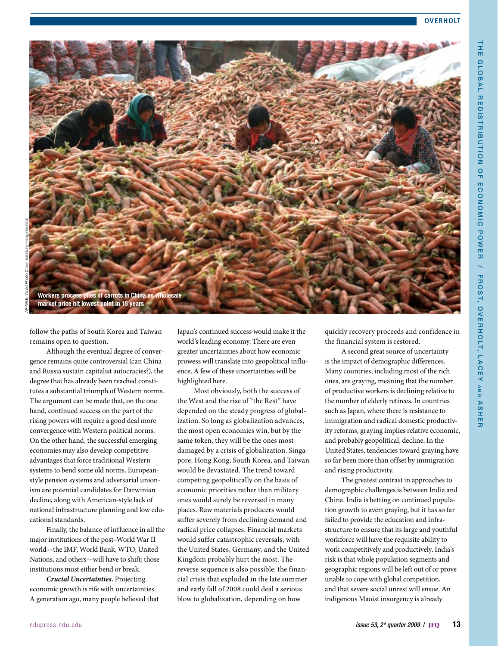#### **OVERHOLT**

The Global Redis

 $\frac{1}{1}$ ibu t

ion de E

conomic Powe

r / Fr

OST, OVERHOLT, LACEY AND

Ashe r



follow the paths of South Korea and Taiwan remains open to question.

Although the eventual degree of convergence remains quite controversial (can China and Russia sustain capitalist autocracies?), the degree that has already been reached constitutes a substantial triumph of Western norms. The argument can be made that, on the one hand, continued success on the part of the rising powers will require a good deal more convergence with Western political norms. On the other hand, the successful emerging economies may also develop competitive advantages that force traditional Western systems to bend some old norms. Europeanstyle pension systems and adversarial unionism are potential candidates for Darwinian decline, along with American-style lack of national infrastructure planning and low educational standards.

Finally, the balance of influence in all the major institutions of the post–World War II world—the IMF, World Bank, WTO, United Nations, and others—will have to shift; those institutions must either bend or break.

*Crucial Uncertainties.* Projecting economic growth is rife with uncertainties. A generation ago, many people believed that Japan's continued success would make it the world's leading economy. There are even greater uncertainties about how economic prowess will translate into geopolitical influence. A few of these uncertainties will be highlighted here.

Most obviously, both the success of the West and the rise of "the Rest" have depended on the steady progress of globalization. So long as globalization advances, the most open economies win, but by the same token, they will be the ones most damaged by a crisis of globalization. Singapore, Hong Kong, South Korea, and Taiwan would be devastated. The trend toward competing geopolitically on the basis of economic priorities rather than military ones would surely be reversed in many places. Raw materials producers would suffer severely from declining demand and radical price collapses. Financial markets would suffer catastrophic reversals, with the United States, Germany, and the United Kingdom probably hurt the most. The reverse sequence is also possible: the financial crisis that exploded in the late summer and early fall of 2008 could deal a serious blow to globalization, depending on how

quickly recovery proceeds and confidence in the financial system is restored.

A second great source of uncertainty is the impact of demographic differences. Many countries, including most of the rich ones, are graying, meaning that the number of productive workers is declining relative to the number of elderly retirees. In countries such as Japan, where there is resistance to immigration and radical domestic productivity reforms, graying implies relative economic, and probably geopolitical, decline. In the United States, tendencies toward graying have so far been more than offset by immigration and rising productivity.

The greatest contrast in approaches to demographic challenges is between India and China. India is betting on continued population growth to avert graying, but it has so far failed to provide the education and infrastructure to ensure that its large and youthful workforce will have the requisite ability to work competitively and productively. India's risk is that whole population segments and geographic regions will be left out of or prove unable to cope with global competition, and that severe social unrest will ensue. An indigenous Maoist insurgency is already